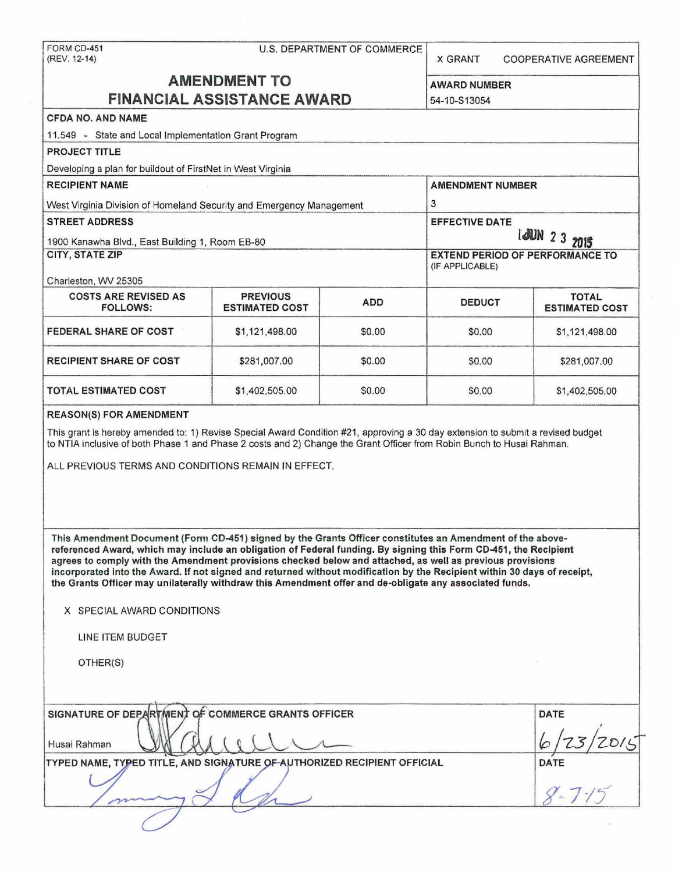| FORM CD-451                                                                                                                                                                                                                                                                                                                                                                                                                                                                                                                                                                                                                                     |                                          |                      |                                                           |                                       |  |
|-------------------------------------------------------------------------------------------------------------------------------------------------------------------------------------------------------------------------------------------------------------------------------------------------------------------------------------------------------------------------------------------------------------------------------------------------------------------------------------------------------------------------------------------------------------------------------------------------------------------------------------------------|------------------------------------------|----------------------|-----------------------------------------------------------|---------------------------------------|--|
| (REV. 12-14)                                                                                                                                                                                                                                                                                                                                                                                                                                                                                                                                                                                                                                    | <b>U.S. DEPARTMENT OF COMMERCE</b>       |                      | <b>X GRANT</b>                                            | <b>COOPERATIVE AGREEMENT</b>          |  |
| <b>AMENDMENT TO</b>                                                                                                                                                                                                                                                                                                                                                                                                                                                                                                                                                                                                                             |                                          |                      | <b>AWARD NUMBER</b>                                       |                                       |  |
| <b>FINANCIAL ASSISTANCE AWARD</b>                                                                                                                                                                                                                                                                                                                                                                                                                                                                                                                                                                                                               | 54-10-S13054                             |                      |                                                           |                                       |  |
| <b>CFDA NO. AND NAME</b>                                                                                                                                                                                                                                                                                                                                                                                                                                                                                                                                                                                                                        |                                          |                      |                                                           |                                       |  |
| 11.549 - State and Local Implementation Grant Program                                                                                                                                                                                                                                                                                                                                                                                                                                                                                                                                                                                           |                                          |                      |                                                           |                                       |  |
| PROJECT TITLE                                                                                                                                                                                                                                                                                                                                                                                                                                                                                                                                                                                                                                   |                                          |                      |                                                           |                                       |  |
| Developing a plan for buildout of FirstNet in West Virginia                                                                                                                                                                                                                                                                                                                                                                                                                                                                                                                                                                                     |                                          |                      |                                                           |                                       |  |
| <b>RECIPIENT NAME</b>                                                                                                                                                                                                                                                                                                                                                                                                                                                                                                                                                                                                                           |                                          |                      | <b>AMENDMENT NUMBER</b>                                   |                                       |  |
| West Virginia Division of Homeland Security and Emergency Management                                                                                                                                                                                                                                                                                                                                                                                                                                                                                                                                                                            |                                          |                      | 3                                                         |                                       |  |
| <b>STREET ADDRESS</b>                                                                                                                                                                                                                                                                                                                                                                                                                                                                                                                                                                                                                           |                                          |                      | <b>EFFECTIVE DATE</b>                                     |                                       |  |
| 1900 Kanawha Blvd., East Building 1, Room EB-80                                                                                                                                                                                                                                                                                                                                                                                                                                                                                                                                                                                                 |                                          |                      | <b>I JUN 2 3 2015</b>                                     |                                       |  |
| <b>CITY, STATE ZIP</b>                                                                                                                                                                                                                                                                                                                                                                                                                                                                                                                                                                                                                          |                                          |                      | <b>EXTEND PERIOD OF PERFORMANCE TO</b><br>(IF APPLICABLE) |                                       |  |
| Charleston, WV 25305                                                                                                                                                                                                                                                                                                                                                                                                                                                                                                                                                                                                                            |                                          |                      |                                                           |                                       |  |
| <b>COSTS ARE REVISED AS</b><br><b>FOLLOWS:</b>                                                                                                                                                                                                                                                                                                                                                                                                                                                                                                                                                                                                  | <b>PREVIOUS</b><br><b>ESTIMATED COST</b> | <b>ADD</b>           | <b>DEDUCT</b>                                             | <b>TOTAL</b><br><b>ESTIMATED COST</b> |  |
| FEDERAL SHARE OF COST                                                                                                                                                                                                                                                                                                                                                                                                                                                                                                                                                                                                                           | \$1,121,498.00                           | \$0.00               | \$0.00                                                    | \$1,121,498.00                        |  |
| <b>RECIPIENT SHARE OF COST</b>                                                                                                                                                                                                                                                                                                                                                                                                                                                                                                                                                                                                                  | \$281,007.00                             | \$0.00               | \$0.00                                                    | \$281,007.00                          |  |
| <b>TOTAL ESTIMATED COST</b>                                                                                                                                                                                                                                                                                                                                                                                                                                                                                                                                                                                                                     | \$1,402,505.00                           | \$0.00               | \$0.00                                                    | \$1,402,505.00                        |  |
| <b>REASON(S) FOR AMENDMENT</b><br>This grant is hereby amended to: 1) Revise Special Award Condition #21, approving a 30 day extension to submit a revised budget<br>to NTIA inclusive of both Phase 1 and Phase 2 costs and 2) Change the Grant Officer from Robin Bunch to Husai Rahman.<br>ALL PREVIOUS TERMS AND CONDITIONS REMAIN IN EFFECT.                                                                                                                                                                                                                                                                                               |                                          |                      |                                                           |                                       |  |
| This Amendment Document (Form CD-451) signed by the Grants Officer constitutes an Amendment of the above-<br>referenced Award, which may include an obligation of Federal funding. By signing this Form CD-451, the Recipient<br>agrees to comply with the Amendment provisions checked below and attached, as well as previous provisions<br>incorporated into the Award. If not signed and returned without modification by the Recipient within 30 days of receipt,<br>the Grants Officer may unilaterally withdraw this Amendment offer and de-obligate any associated funds.<br>X SPECIAL AWARD CONDITIONS<br>LINE ITEM BUDGET<br>OTHER(S) |                                          |                      |                                                           |                                       |  |
|                                                                                                                                                                                                                                                                                                                                                                                                                                                                                                                                                                                                                                                 |                                          |                      |                                                           |                                       |  |
| SIGNATURE OF DEPARTMENT OF COMMERCE GRANTS OFFICER<br>Husai Rahman                                                                                                                                                                                                                                                                                                                                                                                                                                                                                                                                                                              |                                          | <b>DATE</b>          |                                                           |                                       |  |
| TYPED NAME, TYPED TITLE, AND SIGNATURE OF AUTHORIZED RECIPIENT OFFICIAL                                                                                                                                                                                                                                                                                                                                                                                                                                                                                                                                                                         |                                          |                      |                                                           |                                       |  |
|                                                                                                                                                                                                                                                                                                                                                                                                                                                                                                                                                                                                                                                 |                                          |                      |                                                           |                                       |  |
|                                                                                                                                                                                                                                                                                                                                                                                                                                                                                                                                                                                                                                                 |                                          | DATE<br>$8 - 7 - 15$ |                                                           |                                       |  |
|                                                                                                                                                                                                                                                                                                                                                                                                                                                                                                                                                                                                                                                 |                                          |                      |                                                           |                                       |  |